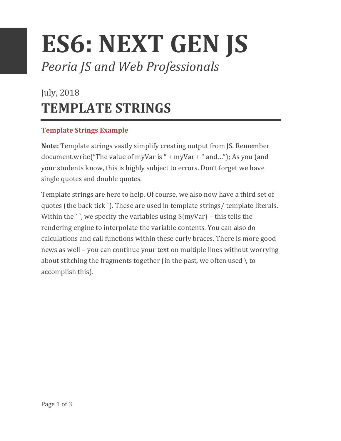# **ES6: NEXT GEN JS** *Peoria JS and Web Professionals*

## July, 2018 **TEMPLATE STRINGS**

### **Template Strings Example**

**Note:** Template strings vastly simplify creating output from JS. Remember document.write("The value of myVar is " + myVar + " and..."); As you (and your students know, this is highly subject to errors. Don't forget we have single quotes and double quotes.

Template strings are here to help. Of course, we also now have a third set of quotes (the back tick `). These are used in template strings/ template literals. Within the `, we specify the variables using  $\frac{1}{2}$  myVar} – this tells the rendering engine to interpolate the variable contents. You can also do calculations and call functions within these curly braces. There is more good news as well – you can continue your text on multiple lines without worrying about stitching the fragments together (in the past, we often used  $\setminus$  to accomplish this).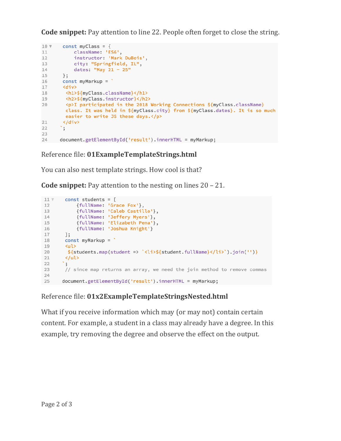**Code snippet:** Pay attention to line 22. People often forget to close the string.

```
10 \sqrt{ }const myClass = \{11
         className: 'ES6',
12
           instructor: 'Mark DuBois',
        nnstructor: 'mark Dubois<br>city: "Springfield, IL",<br>datase "Mare 31
13
           dates: "May 21 - 25"
14
14 aates: "May 21<br>15 };<br>16 const myMarkup = `
17 <div>
18
        <h1>${myClass.className}</h1>
       <h2>${myClass.instructor}</h2>
19
       <p>I participated in the 2018 Working Connections ${myClass.className}
20class. It was held in ${myClass.city} from ${myClass.dates}. It is so much
       easier to write JS these days.</p>
21</div>
      \cdot,\cdot2223
       document.getElementById('result').innerHTML = myMarkup;
24
```
#### Reference file: 01ExampleTemplateStrings.html

You can also nest template strings. How cool is that?

**Code snippet:** Pay attention to the nesting on lines  $20 - 21$ .

```
11 Vconst students = [{fullName: 'Grace Fox'},
12
          {fullName: 'Caleb Castillo'},<br>{fullName: 'Jeffery Myers'},
13
14
           {fullName: 'Elizabeth Pena'},
15
            {fullName: 'Joshua Knight'}
16
17\exists;
       const myMarkup = \degree18
19
       <ul>
        ${students.map(student => '<li>${student.fullName}</li>').join('')}
20
21</ul>
      \cdot , \cdot22
23
       // since map returns an array, we need the join method to remove commas
24
       document.getElementById('result').innerHTML = myMarkup;
25
```
#### Reference file: **01x2ExampleTemplateStringsNested.html**

What if you receive information which may (or may not) contain certain content. For example, a student in a class may already have a degree. In this example, try removing the degree and observe the effect on the output.